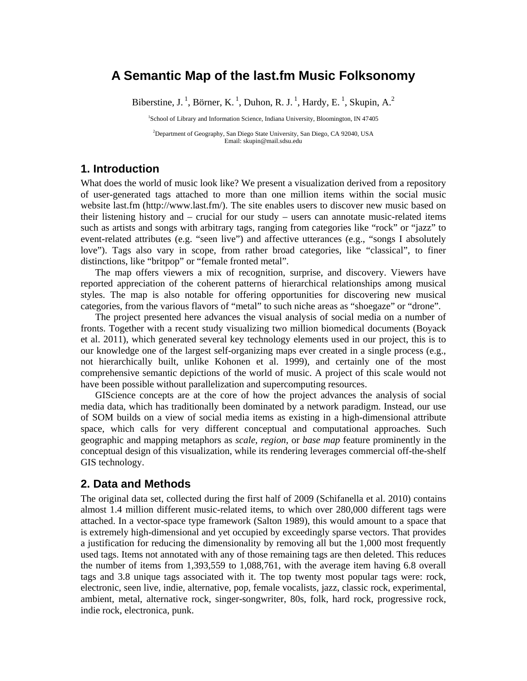# **A Semantic Map of the last.fm Music Folksonomy**

Biberstine, J.<sup>1</sup>, Börner, K.<sup>1</sup>, Duhon, R. J.<sup>1</sup>, Hardy, E.<sup>1</sup>, Skupin, A.<sup>2</sup>

<sup>1</sup>School of Library and Information Science, Indiana University, Bloomington, IN 47405

2 Department of Geography, San Diego State University, San Diego, CA 92040, USA Email: skupin@mail.sdsu.edu

## **1. Introduction**

What does the world of music look like? We present a visualization derived from a repository of user-generated tags attached to more than one million items within the social music website last.fm (http://www.last.fm/). The site enables users to discover new music based on their listening history and – crucial for our study – users can annotate music-related items such as artists and songs with arbitrary tags, ranging from categories like "rock" or "jazz" to event-related attributes (e.g. "seen live") and affective utterances (e.g., "songs I absolutely love"). Tags also vary in scope, from rather broad categories, like "classical", to finer distinctions, like "britpop" or "female fronted metal".

The map offers viewers a mix of recognition, surprise, and discovery. Viewers have reported appreciation of the coherent patterns of hierarchical relationships among musical styles. The map is also notable for offering opportunities for discovering new musical categories, from the various flavors of "metal" to such niche areas as "shoegaze" or "drone".

The project presented here advances the visual analysis of social media on a number of fronts. Together with a recent study visualizing two million biomedical documents (Boyack et al. 2011), which generated several key technology elements used in our project, this is to our knowledge one of the largest self-organizing maps ever created in a single process (e.g., not hierarchically built, unlike Kohonen et al. 1999), and certainly one of the most comprehensive semantic depictions of the world of music. A project of this scale would not have been possible without parallelization and supercomputing resources.

GIScience concepts are at the core of how the project advances the analysis of social media data, which has traditionally been dominated by a network paradigm. Instead, our use of SOM builds on a view of social media items as existing in a high-dimensional attribute space, which calls for very different conceptual and computational approaches. Such geographic and mapping metaphors as *scale*, *region*, or *base map* feature prominently in the conceptual design of this visualization, while its rendering leverages commercial off-the-shelf GIS technology.

#### **2. Data and Methods**

The original data set, collected during the first half of 2009 (Schifanella et al. 2010) contains almost 1.4 million different music-related items, to which over 280,000 different tags were attached. In a vector-space type framework (Salton 1989), this would amount to a space that is extremely high-dimensional and yet occupied by exceedingly sparse vectors. That provides a justification for reducing the dimensionality by removing all but the 1,000 most frequently used tags. Items not annotated with any of those remaining tags are then deleted. This reduces the number of items from 1,393,559 to 1,088,761, with the average item having 6.8 overall tags and 3.8 unique tags associated with it. The top twenty most popular tags were: rock, electronic, seen live, indie, alternative, pop, female vocalists, jazz, classic rock, experimental, ambient, metal, alternative rock, singer-songwriter, 80s, folk, hard rock, progressive rock, indie rock, electronica, punk.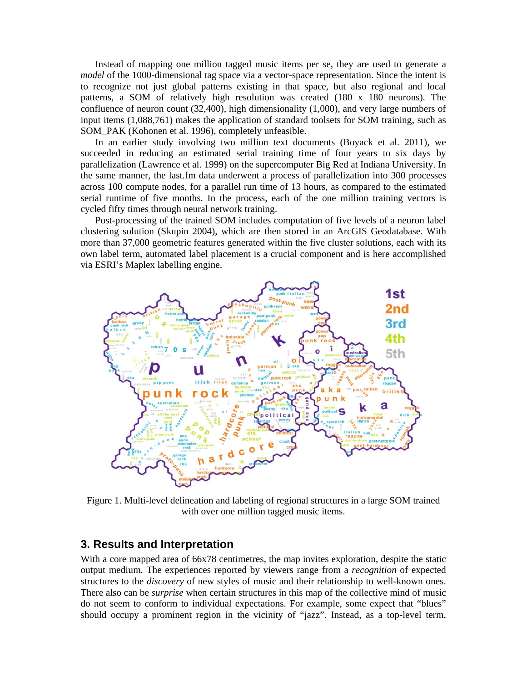Instead of mapping one million tagged music items per se, they are used to generate a *model* of the 1000-dimensional tag space via a vector-space representation. Since the intent is to recognize not just global patterns existing in that space, but also regional and local patterns, a SOM of relatively high resolution was created (180 x 180 neurons). The confluence of neuron count (32,400), high dimensionality (1,000), and very large numbers of input items (1,088,761) makes the application of standard toolsets for SOM training, such as SOM\_PAK (Kohonen et al. 1996), completely unfeasible.

In an earlier study involving two million text documents (Boyack et al. 2011), we succeeded in reducing an estimated serial training time of four years to six days by parallelization (Lawrence et al. 1999) on the supercomputer Big Red at Indiana University. In the same manner, the last.fm data underwent a process of parallelization into 300 processes across 100 compute nodes, for a parallel run time of 13 hours, as compared to the estimated serial runtime of five months. In the process, each of the one million training vectors is cycled fifty times through neural network training.

Post-processing of the trained SOM includes computation of five levels of a neuron label clustering solution (Skupin 2004), which are then stored in an ArcGIS Geodatabase. With more than 37,000 geometric features generated within the five cluster solutions, each with its own label term, automated label placement is a crucial component and is here accomplished via ESRI's Maplex labelling engine.



Figure 1. Multi-level delineation and labeling of regional structures in a large SOM trained with over one million tagged music items.

#### **3. Results and Interpretation**

With a core mapped area of 66x78 centimetres, the map invites exploration, despite the static output medium. The experiences reported by viewers range from a *recognition* of expected structures to the *discovery* of new styles of music and their relationship to well-known ones. There also can be *surprise* when certain structures in this map of the collective mind of music do not seem to conform to individual expectations. For example, some expect that "blues" should occupy a prominent region in the vicinity of "jazz". Instead, as a top-level term,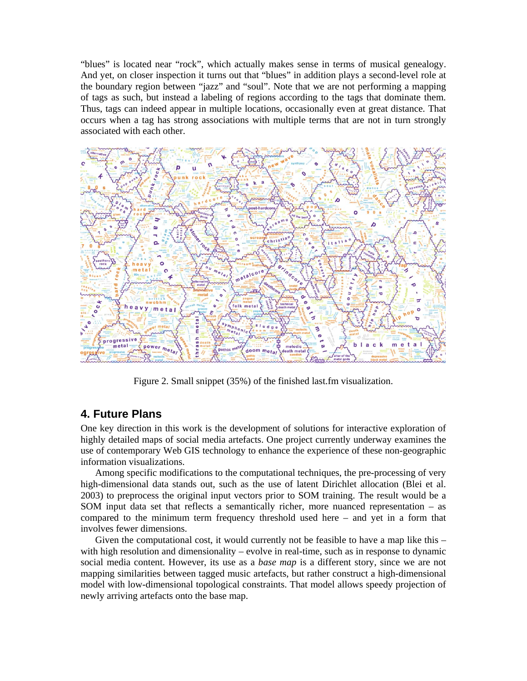"blues" is located near "rock", which actually makes sense in terms of musical genealogy. And yet, on closer inspection it turns out that "blues" in addition plays a second-level role at the boundary region between "jazz" and "soul". Note that we are not performing a mapping of tags as such, but instead a labeling of regions according to the tags that dominate them. Thus, tags can indeed appear in multiple locations, occasionally even at great distance. That occurs when a tag has strong associations with multiple terms that are not in turn strongly associated with each other.



Figure 2. Small snippet (35%) of the finished last.fm visualization.

# **4. Future Plans**

One key direction in this work is the development of solutions for interactive exploration of highly detailed maps of social media artefacts. One project currently underway examines the use of contemporary Web GIS technology to enhance the experience of these non-geographic information visualizations.

Among specific modifications to the computational techniques, the pre-processing of very high-dimensional data stands out, such as the use of latent Dirichlet allocation (Blei et al. 2003) to preprocess the original input vectors prior to SOM training. The result would be a SOM input data set that reflects a semantically richer, more nuanced representation – as compared to the minimum term frequency threshold used here – and yet in a form that involves fewer dimensions.

Given the computational cost, it would currently not be feasible to have a map like this – with high resolution and dimensionality – evolve in real-time, such as in response to dynamic social media content. However, its use as a *base map* is a different story, since we are not mapping similarities between tagged music artefacts, but rather construct a high-dimensional model with low-dimensional topological constraints. That model allows speedy projection of newly arriving artefacts onto the base map.